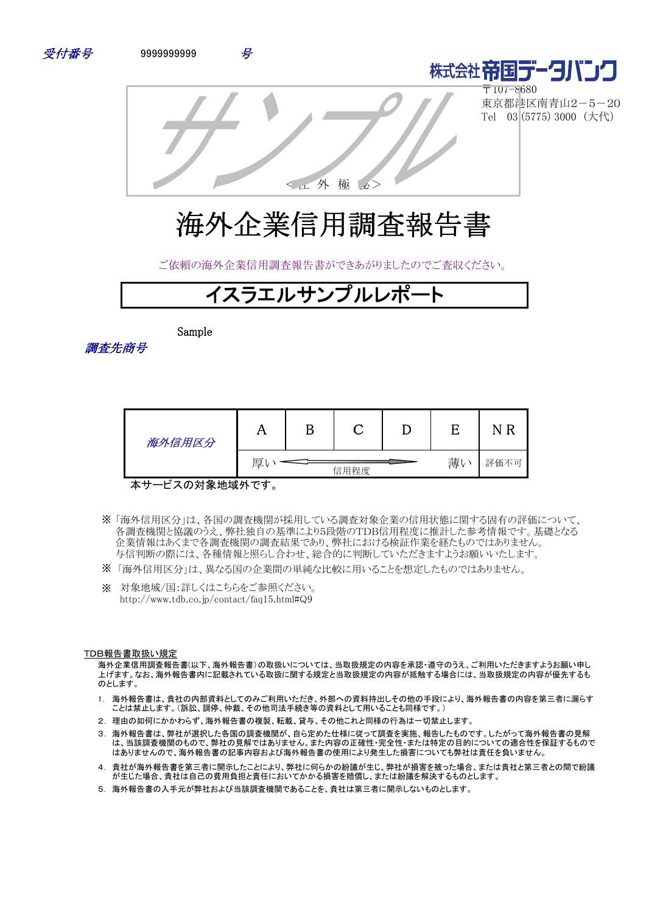



〒107-8680 東京都港区南青山2-5-20 Tel 03 (5775) 3000 (大代)

<社 外 極 秘>

# 海外企業信用調査報告書

ご依頼の海外企業信用調査報告書ができあがりましたのでご査収ください。



Sample

調査先商号

| 海外信用区分 | A |      |    |      |
|--------|---|------|----|------|
|        | 厚 | 信用程度 | 薄し | 評価不可 |

本サービスの対象地域外です。

- 「海外信用区分」は、各国の調査機関が採用している調査対象企業の信用状態に関する固有の評価について、 ※ 各調査機関と協議のうえ、弊社独自の基準により5段階のTDB信用程度に推計した参考情報です。基礎となる 企業情報はあくまで各調査機関の調査結果であり、弊社における検証作業を経たものではありません。 与信判断の際には、各種情報と照らし合わせ、総合的に判断していただきますようお願いいたします。
- ※ 「海外信用区分」は、異なる国の企業間の単純な比較に用いることを想定したものではありません。
- ※ 対象地域/国:詳しくはこちらをご参照ください。 http://www.tdb.co.jp/contact/faq15.html#Q9

#### TDB報告書取扱い規定

海外企業信用調査報告書(以下、海外報告書)の取扱いについては、当取扱規定の内容を承認・遵守のうえ、ご利用いただきますようお願い申し 上げます。なお、海外報告書内に記載されている取扱に関する規定と当取扱規定の内容が抵触する場合には、当取扱規定の内容が優先するも のとします。

- 1. 海外報告書は、貴社の内部資料としてのみご利用いただき、外部への資料持出しその他の手段により、海外報告書の内容を第三者に漏らす ことは禁止します。(訴訟、調停、仲裁、その他司法手続き等の資料として用いることも同様です。)
- 2. 理由の如何にかかわらず、海外報告書の複製、転載、貸与、その他これと同様の行為は一切禁止します。
- 3. 海外報告書は、弊社が選択した各国の調査機関が、自ら定めた仕様に従って調査を実施、報告したものです。したがって海外報告書の見解 は、当該調査機関のもので、弊社の見解ではありません。また内容の正確性・完全性・または特定の目的についての適合性を保証するもので はありませんので、海外報告書の記事内容および海外報告書の使用により発生した損害についても弊社は責任を負いません。
- 4. 貴社が海外報告書を第三者に開示したことにより、弊社に何らかの紛議が生じ、弊社が損害を被った場合、または貴社と第三者との間で紛議 が生じた場合、貴社は自己の費用負担と責任においてかかる損害を賠償し、または紛議を解決するものとします。
- 5. 海外報告書の入手元が弊社および当該調査機関であることを、貴社は第三者に開示しないものとします。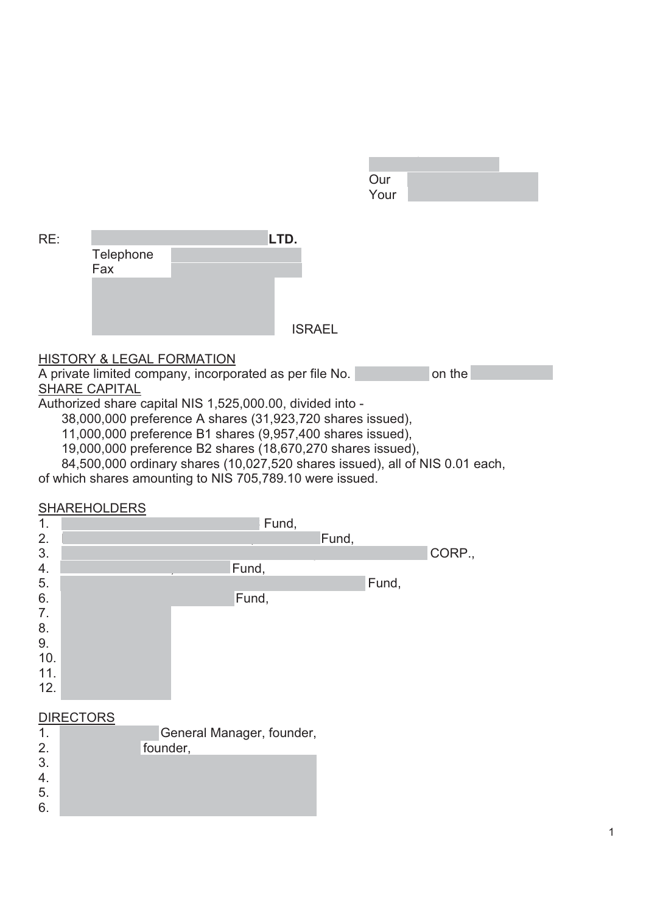| Our  |  |
|------|--|
| Your |  |

| RE: |                                      | LTD.          |
|-----|--------------------------------------|---------------|
|     | Telephone                            |               |
|     | Fax                                  |               |
|     |                                      |               |
|     |                                      |               |
|     |                                      | <b>ISRAEL</b> |
|     |                                      |               |
|     | <b>HISTORY &amp; LEGAL FORMATION</b> |               |

A private limited company, incorporated as per file No. 51-388704-2 on the **SHARE CAPITAL** 

Authorized share capital NIS 1,525,000.00, divided into -

38,000,000 preference A shares (31,923,720 shares issued),

11,000,000 preference B1 shares (9,957,400 shares issued),

19,000,000 preference B2 shares (18,670,270 shares issued),

84,500,000 ordinary shares (10,027,520 shares issued), all of NIS 0.01 each,

of which shares amounting to NIS 705,789.10 were issued.

# **SHAREHOLDERS**



|    | General Manager, founder, |
|----|---------------------------|
| 2. | founder,                  |
| 3. |                           |
|    |                           |
| 5. |                           |
| 6. |                           |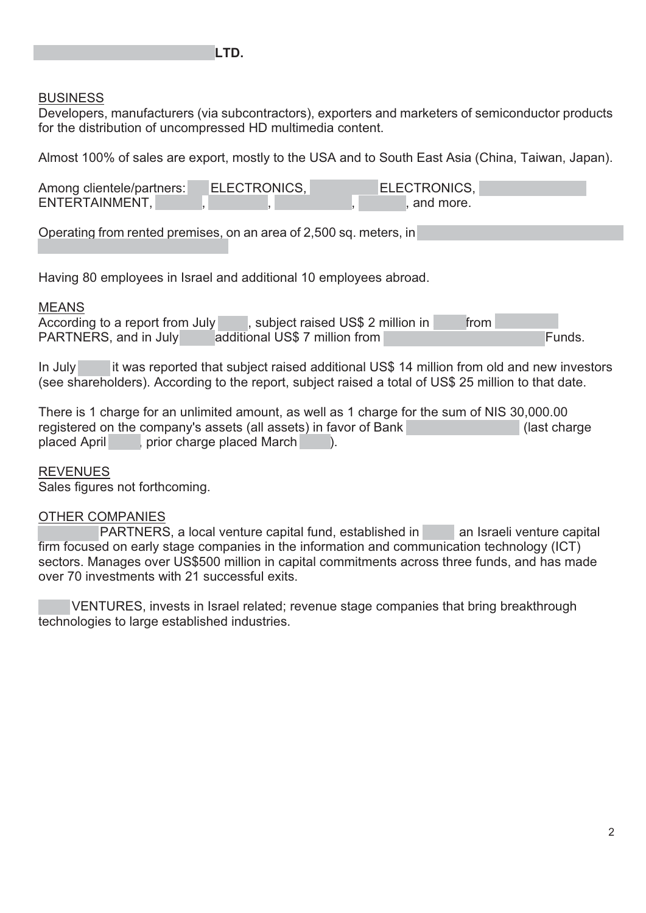## **BUSINESS**

Developers, manufacturers (via subcontractors), exporters and marketers of semiconductor products for the distribution of uncompressed HD multimedia content.

Almost 100% of sales are export, mostly to the USA and to South East Asia (China, Taiwan, Japan).

| Among clientele/partners: | ELECTRONICS. | ELECTRONICS, |
|---------------------------|--------------|--------------|
| ENTERTAINMENT,            |              | and more.    |

Operating from rented premises, on an area of 2,500 sq. meters, in

Having 80 employees in Israel and additional 10 employees abroad.

### MEANS

According to a report from July 300, subject raised US\$ 2 million in 2006 from PARTNERS, and in July additional US\$ 7 million from GENESIS and in July

In July 2011 it was reported that subject raised additional US\$ 14 million from old and new investors (see shareholders). According to the report, subject raised a total of US\$ 25 million to that date.

There is 1 charge for an unlimited amount, as well as 1 charge for the sum of NIS 30,000.00 registered on the company's assets (all assets) in favor of Bank (assets) In favor and Leumi Leumi Leumi Leumi Leumi Leumi Leumi Leumi Leumi Leumi Leumi Leumi Leumi Leumi Leumi Leumi Leumi Leumi Leumi Leumi Leumi Leumi Leu placed April (2008), prior charge placed March 2008).

### REVENUES

Sales figures not forthcoming.

# OTHER COMPANIES

PARTNERS, a local venture capital fund, established in 1996, an Israeli venture capital firm focused on early stage companies in the information and communication technology (ICT) sectors. Manages over US\$500 million in capital commitments across three funds, and has made over 70 investments with 21 successful exits.

VENTURES, invests in Israel related; revenue stage companies that bring breakthrough technologies to large established industries.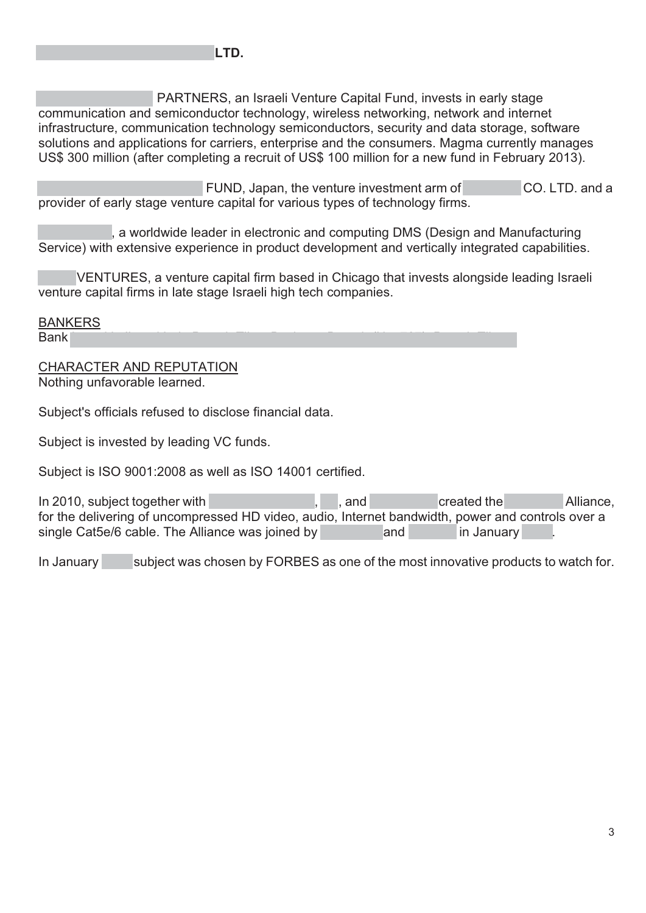PARTNERS, an Israeli Venture Capital Fund, invests in early stage communication and semiconductor technology, wireless networking, network and internet infrastructure, communication technology semiconductors, security and data storage, software solutions and applications for carriers, enterprise and the consumers. Magma currently manages US\$ 300 million (after completing a recruit of US\$ 100 million for a new fund in February 2013).

FUND, Japan, the venture investment arm of  $\sim$  CO. LTD. and a provider of early stage venture capital for various types of technology firms.

, a worldwide leader in electronic and computing DMS (Design and Manufacturing Service) with extensive experience in product development and vertically integrated capabilities.

VENTURES, a venture capital firm based in Chicago that invests alongside leading Israeli venture capital firms in late stage Israeli high tech companies.

BANKERS Bank Leumi Leumi Leumi Leumi Leumi Leumi Leumi Leumi Leumi Leumi Leumi Leumi Leumi Leumi Leumi Leumi Leumi Leu

CHARACTER AND REPUTATION Nothing unfavorable learned.

Subject's officials refused to disclose financial data.

Subject is invested by leading VC funds.

Subject is ISO 9001:2008 as well as ISO 14001 certified.

In 2010, subject together with SONY PICTURES, LG, and SONY PICTURES, LG, and SAMSUNG Created the HOBBaseT Alliance, for the delivering of uncompressed HD video, audio, Internet bandwidth, power and controls over a single Cat5e/6 cable. The Alliance was joined by PICO and PIONES and PIONES and PIONES

In January subject was chosen by FORBES as one of the most innovative products to watch for.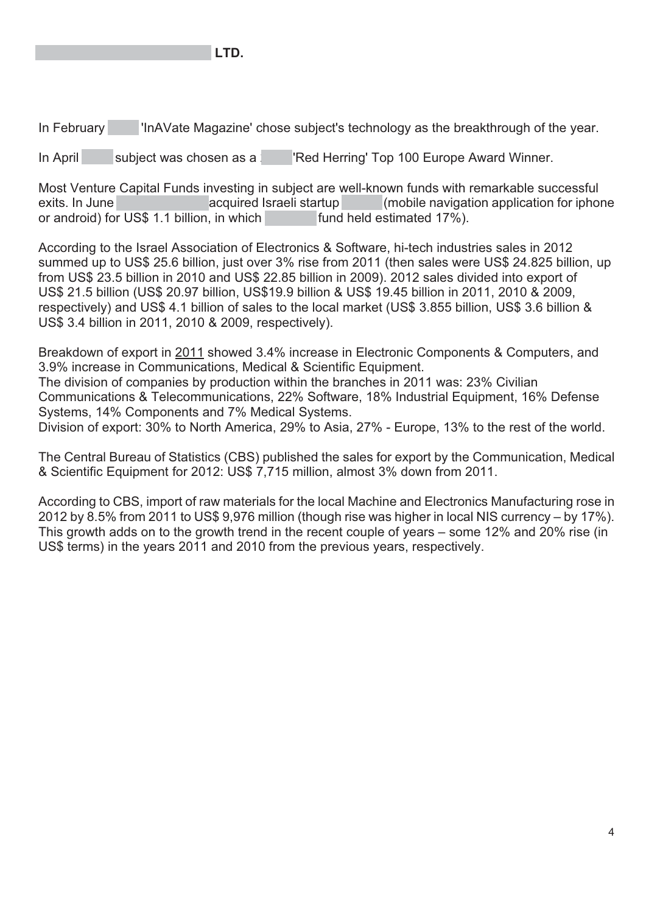

In February 2013 'InAVate Magazine' chose subject's technology as the breakthrough of the year.

In April 3ubject was chosen as a 2013 'Red Herring' Top 100 Europe Award Winner.

Most Venture Capital Funds investing in subject are well-known funds with remarkable successful exits. In June 2013 acquired Israeli startup (mobile navigation application for iphone or android) for US\$ 1.1 billion, in which  $\blacksquare$  fund held estimated 17%).

According to the Israel Association of Electronics & Software, hi-tech industries sales in 2012 summed up to US\$ 25.6 billion, just over 3% rise from 2011 (then sales were US\$ 24.825 billion, up from US\$ 23.5 billion in 2010 and US\$ 22.85 billion in 2009). 2012 sales divided into export of US\$ 21.5 billion (US\$ 20.97 billion, US\$19.9 billion & US\$ 19.45 billion in 2011, 2010 & 2009, respectively) and US\$ 4.1 billion of sales to the local market (US\$ 3.855 billion, US\$ 3.6 billion & US\$ 3.4 billion in 2011, 2010 & 2009, respectively).

Breakdown of export in 2011 showed 3.4% increase in Electronic Components & Computers, and 3.9% increase in Communications, Medical & Scientific Equipment. The division of companies by production within the branches in 2011 was: 23% Civilian Communications & Telecommunications, 22% Software, 18% Industrial Equipment, 16% Defense Systems, 14% Components and 7% Medical Systems. Division of export: 30% to North America, 29% to Asia, 27% - Europe, 13% to the rest of the world.

The Central Bureau of Statistics (CBS) published the sales for export by the Communication, Medical & Scientific Equipment for 2012: US\$ 7,715 million, almost 3% down from 2011.

According to CBS, import of raw materials for the local Machine and Electronics Manufacturing rose in 2012 by 8.5% from 2011 to US\$ 9,976 million (though rise was higher in local NIS currency – by 17%). This growth adds on to the growth trend in the recent couple of years – some 12% and 20% rise (in US\$ terms) in the years 2011 and 2010 from the previous years, respectively.